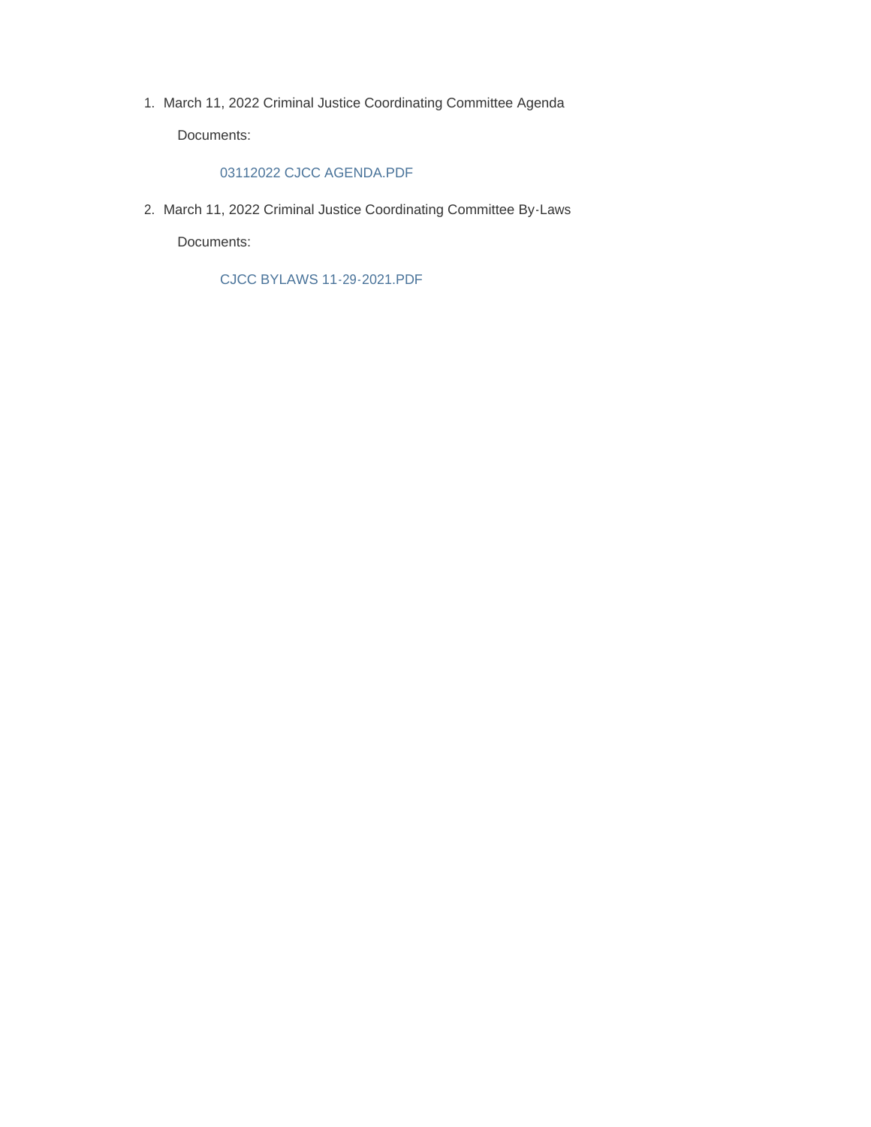1. March 11, 2022 Criminal Justice Coordinating Committee Agenda

Documents:

#### 03112022 CJCC AGENDA.PDF

2. March 11, 2022 Criminal Justice Coordinating Committee By-Laws

Documents:

CJCC BYLAWS 11-29-2021.PDF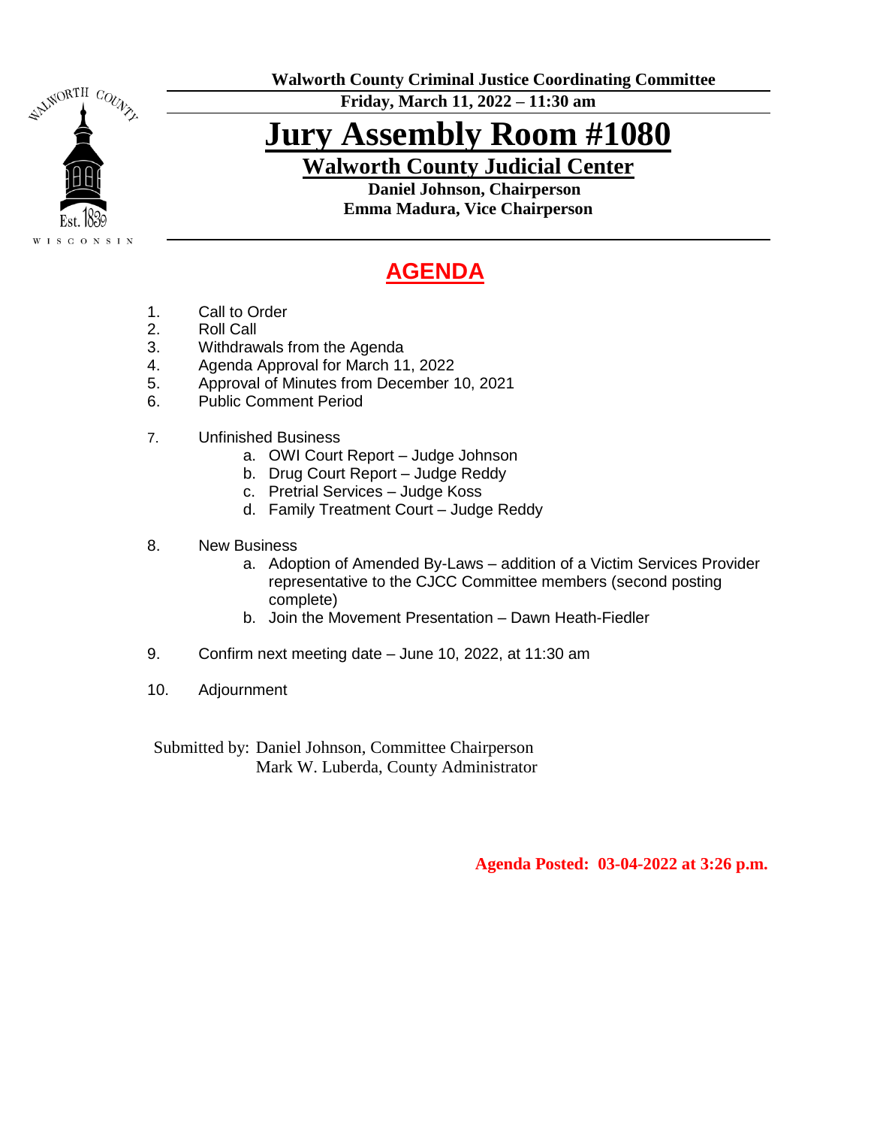

**Walworth County Criminal Justice Coordinating Committee**

**Friday, March 11, 2022 – 11:30 am**

# **Jury Assembly Room #1080**

**Walworth County Judicial Center**

 **Daniel Johnson, Chairperson Emma Madura, Vice Chairperson**

# **AGENDA**

- 1. Call to Order
- 2. Roll Call
- 3. Withdrawals from the Agenda
- 4. Agenda Approval for March 11, 2022
- 5. Approval of Minutes from December 10, 2021
- 6. Public Comment Period
- 7. Unfinished Business
	- a. OWI Court Report Judge Johnson
	- b. Drug Court Report Judge Reddy
	- c. Pretrial Services Judge Koss
	- d. Family Treatment Court Judge Reddy
- 8. New Business
	- a. Adoption of Amended By-Laws addition of a Victim Services Provider representative to the CJCC Committee members (second posting complete)
	- b. Join the Movement Presentation Dawn Heath-Fiedler
- 9. Confirm next meeting date June 10, 2022, at 11:30 am
- 10. Adjournment

Submitted by: Daniel Johnson, Committee Chairperson Mark W. Luberda, County Administrator

 **Agenda Posted: 03-04-2022 at 3:26 p.m.**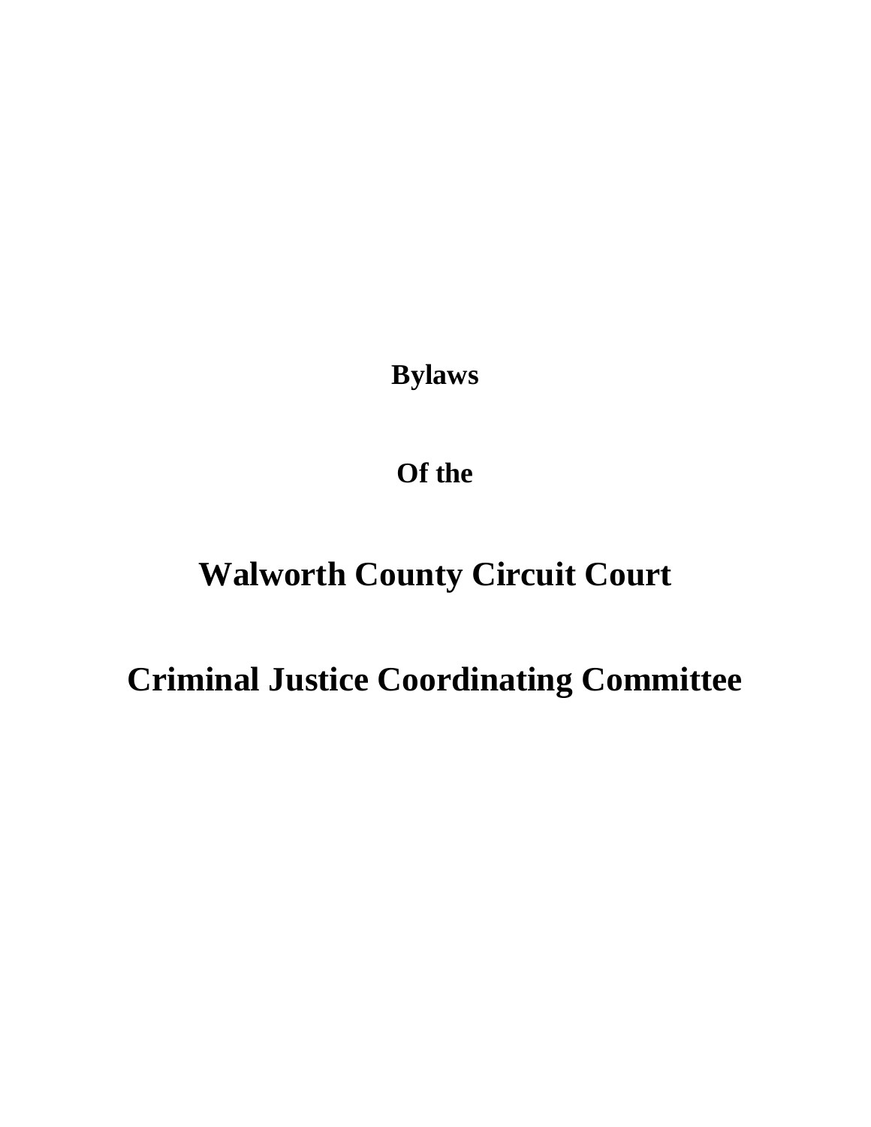**Bylaws**

**Of the**

# **Walworth County Circuit Court**

**Criminal Justice Coordinating Committee**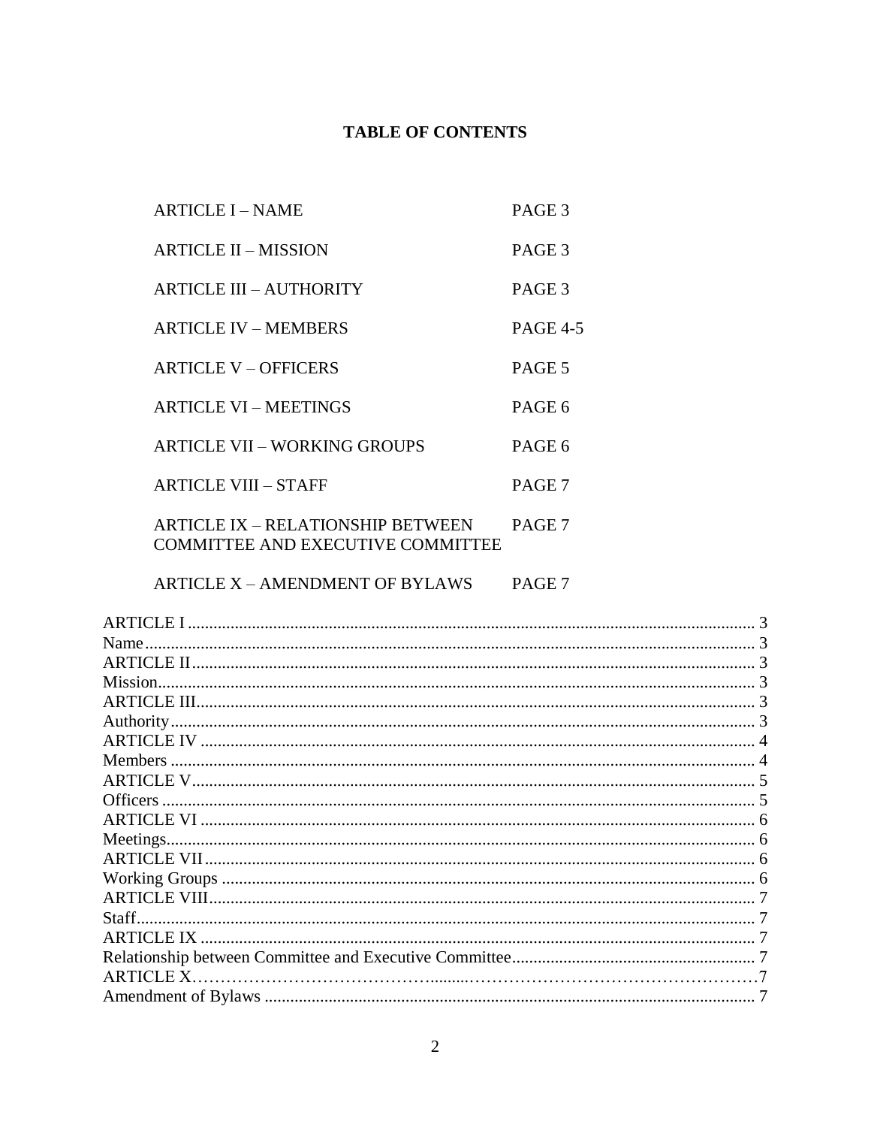# **TABLE OF CONTENTS**

| ARTICLE I – NAME                                                       | PAGE 3          |
|------------------------------------------------------------------------|-----------------|
| <b>ARTICLE II – MISSION</b>                                            | PAGE 3          |
| ARTICLE III – AUTHORITY                                                | PAGE 3          |
| <b>ARTICLE IV – MEMBERS</b>                                            | <b>PAGE 4-5</b> |
| <b>ARTICLE V - OFFICERS</b>                                            | PAGE 5          |
| <b>ARTICLE VI – MEETINGS</b>                                           | PAGE 6          |
| <b>ARTICLE VII - WORKING GROUPS</b>                                    | PAGE 6          |
| <b>ARTICLE VIII – STAFF</b>                                            | PAGE 7          |
| ARTICLE IX – RELATIONSHIP BETWEEN<br>COMMITTEE AND EXECUTIVE COMMITTEE | PAGE 7          |

ARTICLE X - AMENDMENT OF BYLAWS PAGE 7

| ARTICLE I      |  |
|----------------|--|
| Name           |  |
|                |  |
| Mission.       |  |
|                |  |
|                |  |
|                |  |
| <b>Members</b> |  |
|                |  |
|                |  |
|                |  |
|                |  |
|                |  |
|                |  |
|                |  |
|                |  |
|                |  |
|                |  |
| ARTICLE X.     |  |
|                |  |
|                |  |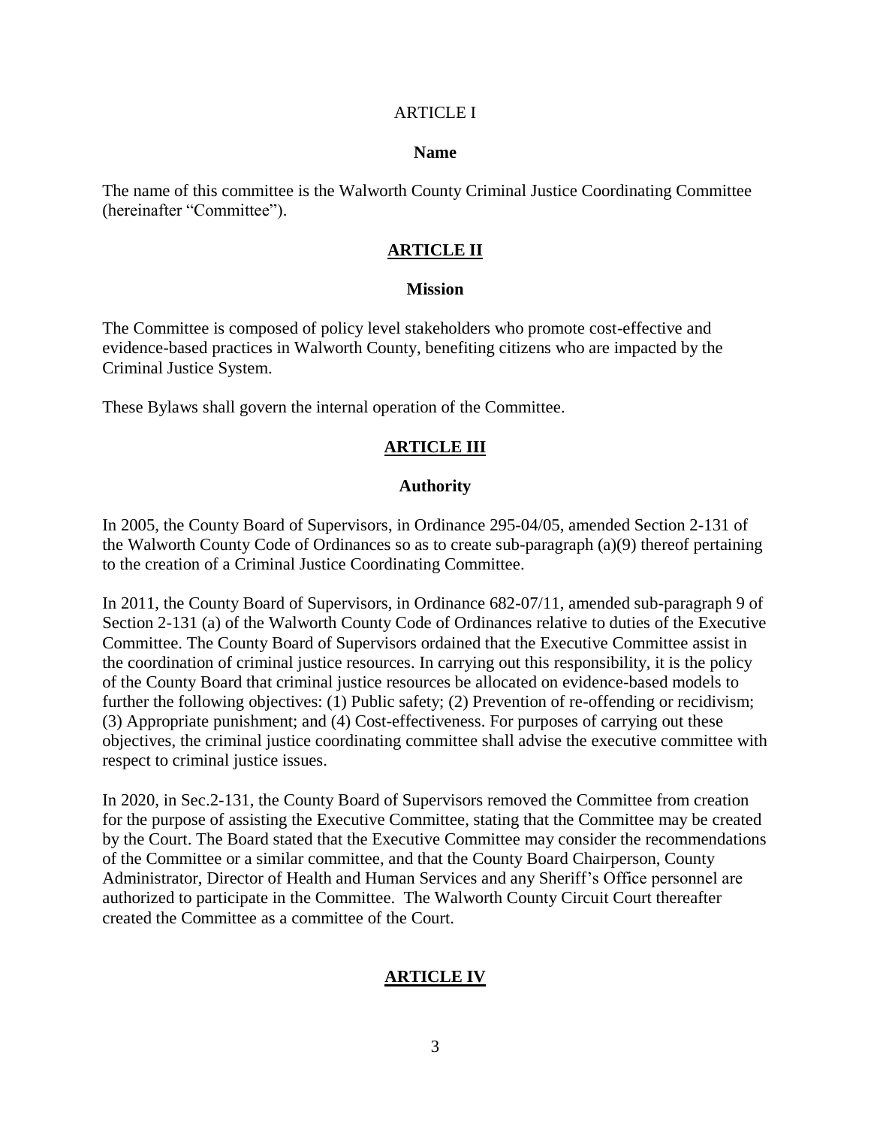#### <span id="page-4-0"></span>ARTICLE I

#### **Name**

<span id="page-4-2"></span><span id="page-4-1"></span>The name of this committee is the Walworth County Criminal Justice Coordinating Committee (hereinafter "Committee").

#### **ARTICLE II**

#### **Mission**

<span id="page-4-3"></span>The Committee is composed of policy level stakeholders who promote cost-effective and evidence-based practices in Walworth County, benefiting citizens who are impacted by the Criminal Justice System.

<span id="page-4-4"></span>These Bylaws shall govern the internal operation of the Committee.

### **ARTICLE III**

#### **Authority**

<span id="page-4-5"></span>In 2005, the County Board of Supervisors, in Ordinance 295-04/05, amended Section 2-131 of the Walworth County Code of Ordinances so as to create sub-paragraph (a)(9) thereof pertaining to the creation of a Criminal Justice Coordinating Committee.

In 2011, the County Board of Supervisors, in Ordinance 682-07/11, amended sub-paragraph 9 of Section 2-131 (a) of the Walworth County Code of Ordinances relative to duties of the Executive Committee. The County Board of Supervisors ordained that the Executive Committee assist in the coordination of criminal justice resources. In carrying out this responsibility, it is the policy of the County Board that criminal justice resources be allocated on evidence-based models to further the following objectives: (1) Public safety; (2) Prevention of re-offending or recidivism; (3) Appropriate punishment; and (4) Cost-effectiveness. For purposes of carrying out these objectives, the criminal justice coordinating committee shall advise the executive committee with respect to criminal justice issues.

<span id="page-4-6"></span>In 2020, in Sec.2-131, the County Board of Supervisors removed the Committee from creation for the purpose of assisting the Executive Committee, stating that the Committee may be created by the Court. The Board stated that the Executive Committee may consider the recommendations of the Committee or a similar committee, and that the County Board Chairperson, County Administrator, Director of Health and Human Services and any Sheriff's Office personnel are authorized to participate in the Committee. The Walworth County Circuit Court thereafter created the Committee as a committee of the Court.

# **ARTICLE IV**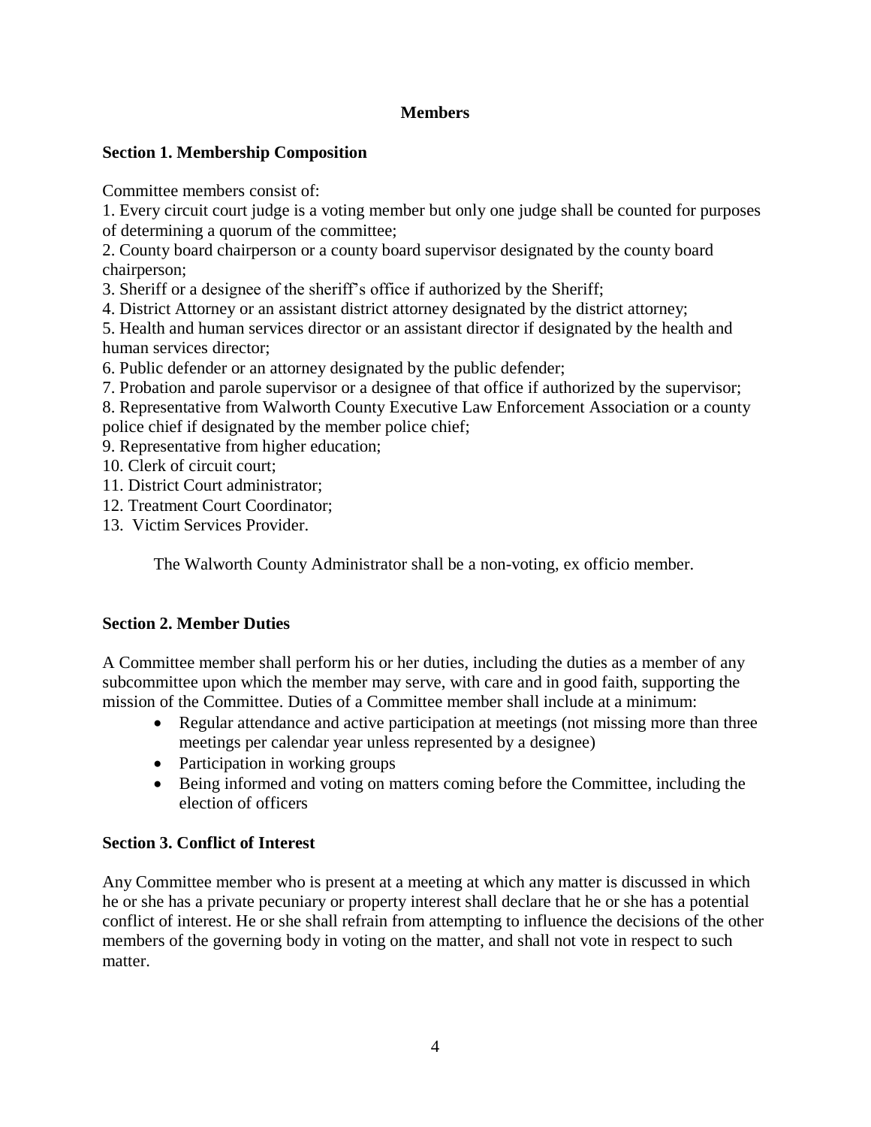# **Members**

# <span id="page-5-0"></span>**Section 1. Membership Composition**

Committee members consist of:

1. Every circuit court judge is a voting member but only one judge shall be counted for purposes of determining a quorum of the committee;

2. County board chairperson or a county board supervisor designated by the county board chairperson;

3. Sheriff or a designee of the sheriff's office if authorized by the Sheriff;

4. District Attorney or an assistant district attorney designated by the district attorney;

5. Health and human services director or an assistant director if designated by the health and human services director;

6. Public defender or an attorney designated by the public defender;

7. Probation and parole supervisor or a designee of that office if authorized by the supervisor;

8. Representative from Walworth County Executive Law Enforcement Association or a county police chief if designated by the member police chief;

9. Representative from higher education;

10. Clerk of circuit court;

11. District Court administrator;

- 12. Treatment Court Coordinator;
- 13. Victim Services Provider.

The Walworth County Administrator shall be a non-voting, ex officio member.

# **Section 2. Member Duties**

A Committee member shall perform his or her duties, including the duties as a member of any subcommittee upon which the member may serve, with care and in good faith, supporting the mission of the Committee. Duties of a Committee member shall include at a minimum:

- Regular attendance and active participation at meetings (not missing more than three meetings per calendar year unless represented by a designee)
- Participation in working groups
- Being informed and voting on matters coming before the Committee, including the election of officers

# **Section 3. Conflict of Interest**

Any Committee member who is present at a meeting at which any matter is discussed in which he or she has a private pecuniary or property interest shall declare that he or she has a potential conflict of interest. He or she shall refrain from attempting to influence the decisions of the other members of the governing body in voting on the matter, and shall not vote in respect to such matter.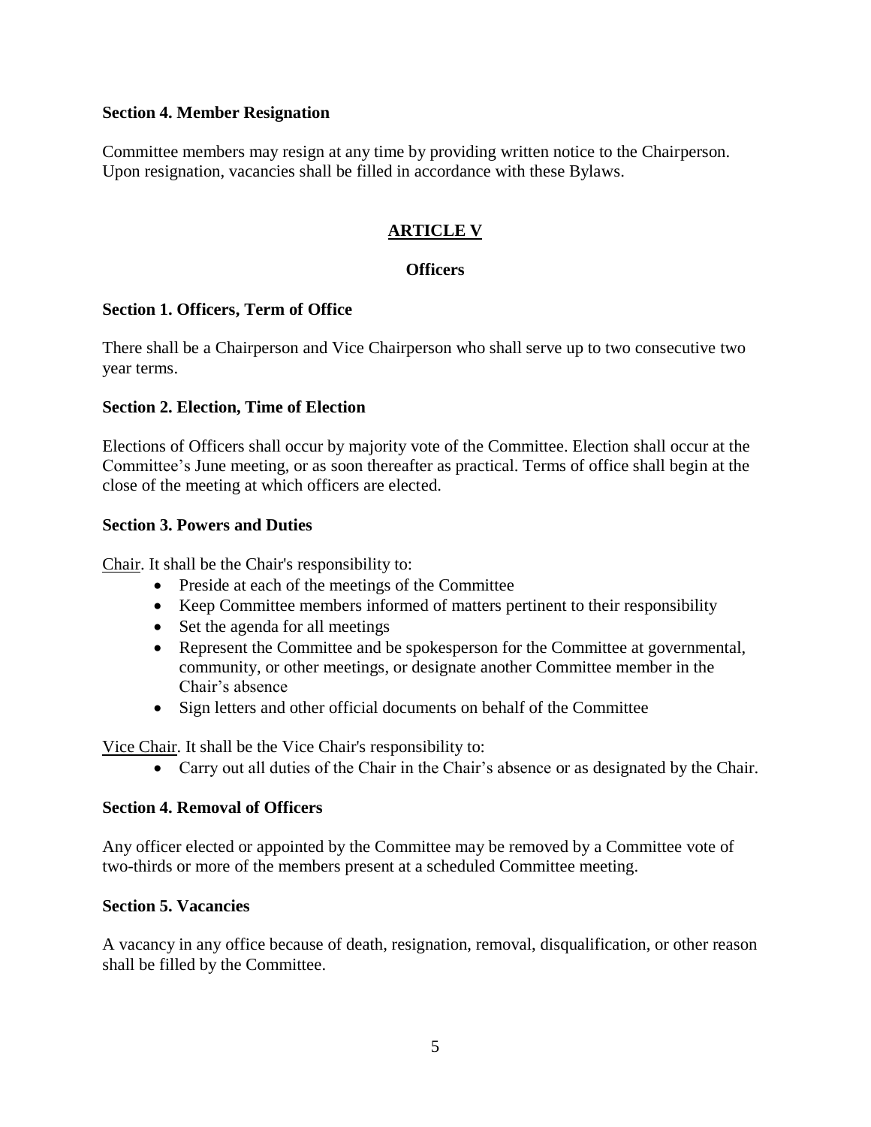#### **Section 4. Member Resignation**

Committee members may resign at any time by providing written notice to the Chairperson. Upon resignation, vacancies shall be filled in accordance with these Bylaws.

# <span id="page-6-0"></span>**ARTICLE V**

#### **Officers**

#### <span id="page-6-1"></span>**Section 1. Officers, Term of Office**

There shall be a Chairperson and Vice Chairperson who shall serve up to two consecutive two year terms.

#### **Section 2. Election, Time of Election**

Elections of Officers shall occur by majority vote of the Committee. Election shall occur at the Committee's June meeting, or as soon thereafter as practical. Terms of office shall begin at the close of the meeting at which officers are elected.

#### **Section 3. Powers and Duties**

Chair. It shall be the Chair's responsibility to:

- Preside at each of the meetings of the Committee
- Keep Committee members informed of matters pertinent to their responsibility
- Set the agenda for all meetings
- Represent the Committee and be spokesperson for the Committee at governmental, community, or other meetings, or designate another Committee member in the Chair's absence
- Sign letters and other official documents on behalf of the Committee

Vice Chair. It shall be the Vice Chair's responsibility to:

Carry out all duties of the Chair in the Chair's absence or as designated by the Chair.

#### **Section 4. Removal of Officers**

Any officer elected or appointed by the Committee may be removed by a Committee vote of two-thirds or more of the members present at a scheduled Committee meeting.

#### **Section 5. Vacancies**

A vacancy in any office because of death, resignation, removal, disqualification, or other reason shall be filled by the Committee.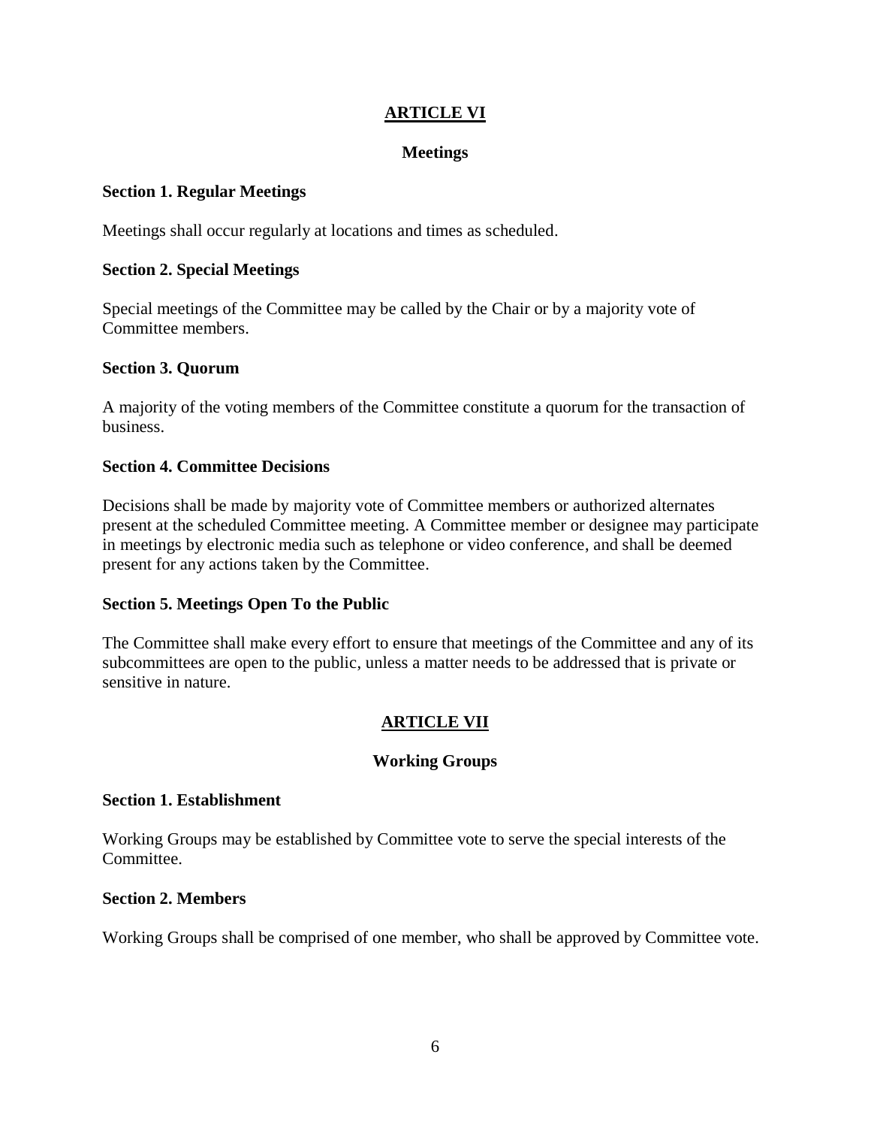# <span id="page-7-0"></span>**ARTICLE VI**

#### **Meetings**

#### <span id="page-7-1"></span>**Section 1. Regular Meetings**

Meetings shall occur regularly at locations and times as scheduled.

#### **Section 2. Special Meetings**

Special meetings of the Committee may be called by the Chair or by a majority vote of Committee members.

#### **Section 3. Quorum**

A majority of the voting members of the Committee constitute a quorum for the transaction of business.

#### **Section 4. Committee Decisions**

Decisions shall be made by majority vote of Committee members or authorized alternates present at the scheduled Committee meeting. A Committee member or designee may participate in meetings by electronic media such as telephone or video conference, and shall be deemed present for any actions taken by the Committee.

#### **Section 5. Meetings Open To the Public**

<span id="page-7-2"></span>The Committee shall make every effort to ensure that meetings of the Committee and any of its subcommittees are open to the public, unless a matter needs to be addressed that is private or sensitive in nature.

# **ARTICLE VII**

# **Working Groups**

#### <span id="page-7-3"></span>**Section 1. Establishment**

Working Groups may be established by Committee vote to serve the special interests of the Committee.

#### **Section 2. Members**

Working Groups shall be comprised of one member, who shall be approved by Committee vote.